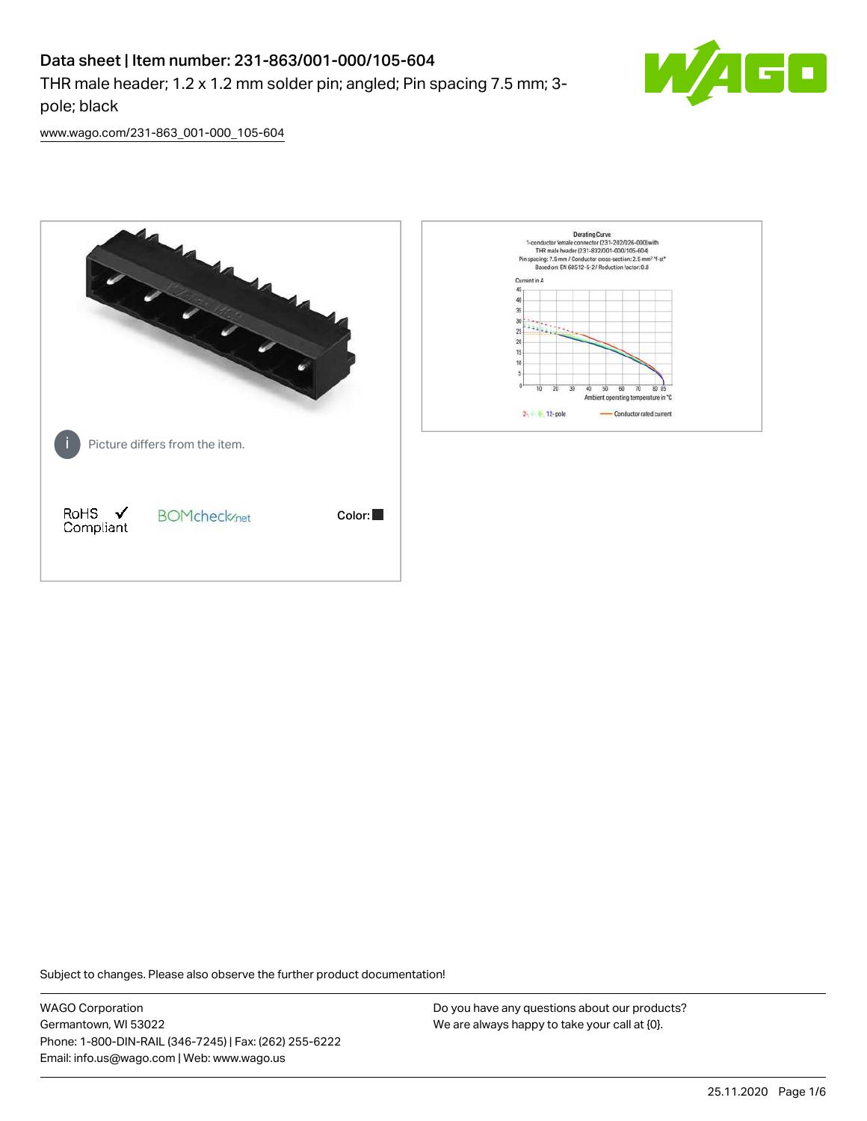## Data sheet | Item number: 231-863/001-000/105-604

THR male header; 1.2 x 1.2 mm solder pin; angled; Pin spacing 7.5 mm; 3 pole; black



[www.wago.com/231-863\\_001-000\\_105-604](http://www.wago.com/231-863_001-000_105-604)



Subject to changes. Please also observe the further product documentation!

WAGO Corporation Germantown, WI 53022 Phone: 1-800-DIN-RAIL (346-7245) | Fax: (262) 255-6222 Email: info.us@wago.com | Web: www.wago.us

Do you have any questions about our products? We are always happy to take your call at {0}.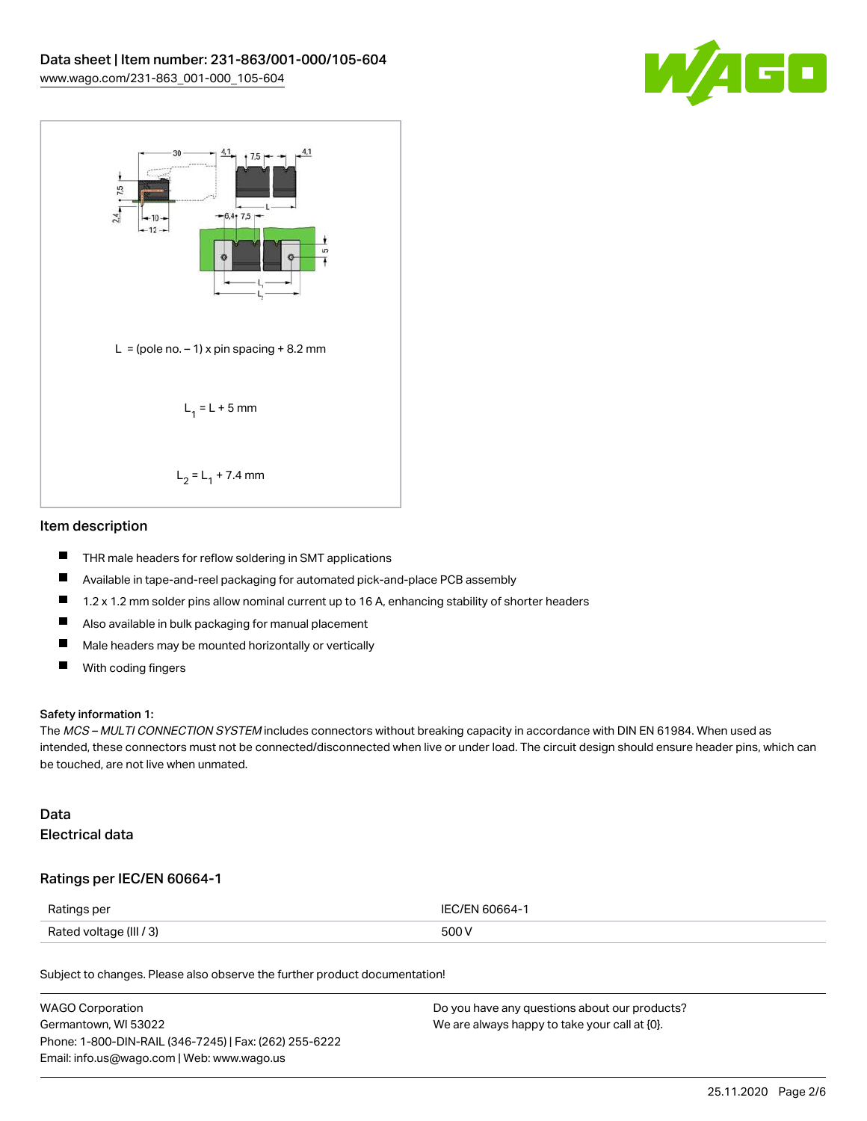



#### Item description

- $\blacksquare$ THR male headers for reflow soldering in SMT applications
- $\blacksquare$ Available in tape-and-reel packaging for automated pick-and-place PCB assembly
- П 1.2 x 1.2 mm solder pins allow nominal current up to 16 A, enhancing stability of shorter headers
- $\blacksquare$ Also available in bulk packaging for manual placement
- $\blacksquare$ Male headers may be mounted horizontally or vertically
- $\blacksquare$ With coding fingers

#### Safety information 1:

The MCS – MULTI CONNECTION SYSTEM includes connectors without breaking capacity in accordance with DIN EN 61984. When used as intended, these connectors must not be connected/disconnected when live or under load. The circuit design should ensure header pins, which can be touched, are not live when unmated.

#### Data Electrical data

#### Ratings per IEC/EN 60664-1

| Ratings per             | IFC/FN 60664-1 |
|-------------------------|----------------|
| Rated voltage (III / 3) | 500 V          |

Subject to changes. Please also observe the further product documentation!

| <b>WAGO Corporation</b>                                | Do you have any questions about our products? |
|--------------------------------------------------------|-----------------------------------------------|
| Germantown, WI 53022                                   | We are always happy to take your call at {0}. |
| Phone: 1-800-DIN-RAIL (346-7245)   Fax: (262) 255-6222 |                                               |
| Email: info.us@wago.com   Web: www.wago.us             |                                               |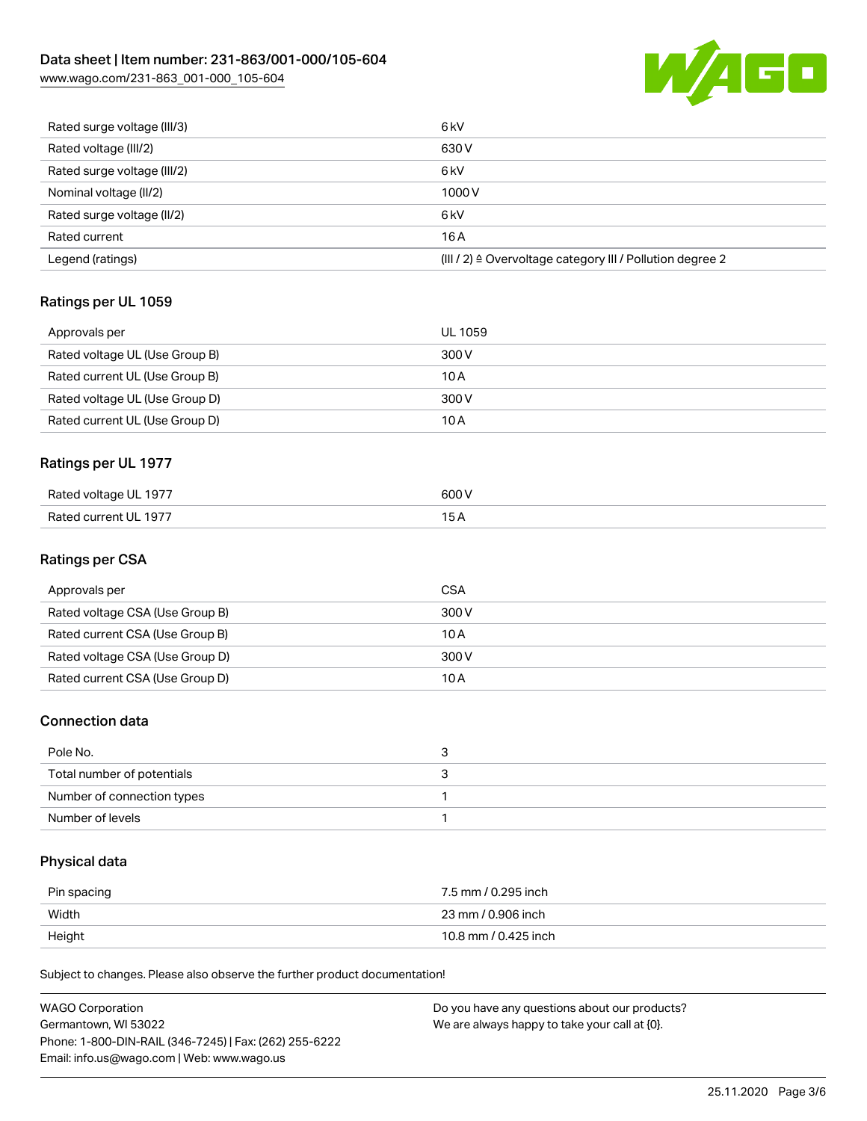# Data sheet | Item number: 231-863/001-000/105-604

[www.wago.com/231-863\\_001-000\\_105-604](http://www.wago.com/231-863_001-000_105-604)



| Rated surge voltage (III/3) | 6 <sub>kV</sub>                                                       |
|-----------------------------|-----------------------------------------------------------------------|
| Rated voltage (III/2)       | 630 V                                                                 |
| Rated surge voltage (III/2) | 6 <sub>k</sub> V                                                      |
| Nominal voltage (II/2)      | 1000V                                                                 |
| Rated surge voltage (II/2)  | 6 <sub>k</sub> V                                                      |
| Rated current               | 16A                                                                   |
| Legend (ratings)            | $(III / 2)$ $\triangle$ Overvoltage category III / Pollution degree 2 |

### Ratings per UL 1059

| Approvals per                  | UL 1059 |
|--------------------------------|---------|
| Rated voltage UL (Use Group B) | 300 V   |
| Rated current UL (Use Group B) | 10 A    |
| Rated voltage UL (Use Group D) | 300 V   |
| Rated current UL (Use Group D) | 10 A    |

### Ratings per UL 1977

| Rated voltage UL 1977 | 600 V |
|-----------------------|-------|
| Rated current UL 1977 |       |

#### Ratings per CSA

| Approvals per                   | CSA   |
|---------------------------------|-------|
| Rated voltage CSA (Use Group B) | 300 V |
| Rated current CSA (Use Group B) | 10 A  |
| Rated voltage CSA (Use Group D) | 300 V |
| Rated current CSA (Use Group D) | 10 A  |

#### Connection data

| Pole No.                   | u |
|----------------------------|---|
| Total number of potentials |   |
| Number of connection types |   |
| Number of levels           |   |

## Physical data

| Pin spacing | 7.5 mm / 0.295 inch  |
|-------------|----------------------|
| Width       | 23 mm / 0.906 inch   |
| Height      | 10.8 mm / 0.425 inch |

Subject to changes. Please also observe the further product documentation!

| WAGO Corporation                                       | Do you have any questions about our products? |
|--------------------------------------------------------|-----------------------------------------------|
| Germantown. WI 53022                                   | We are always happy to take your call at {0}. |
| Phone: 1-800-DIN-RAIL (346-7245)   Fax: (262) 255-6222 |                                               |
| Email: info.us@wago.com   Web: www.wago.us             |                                               |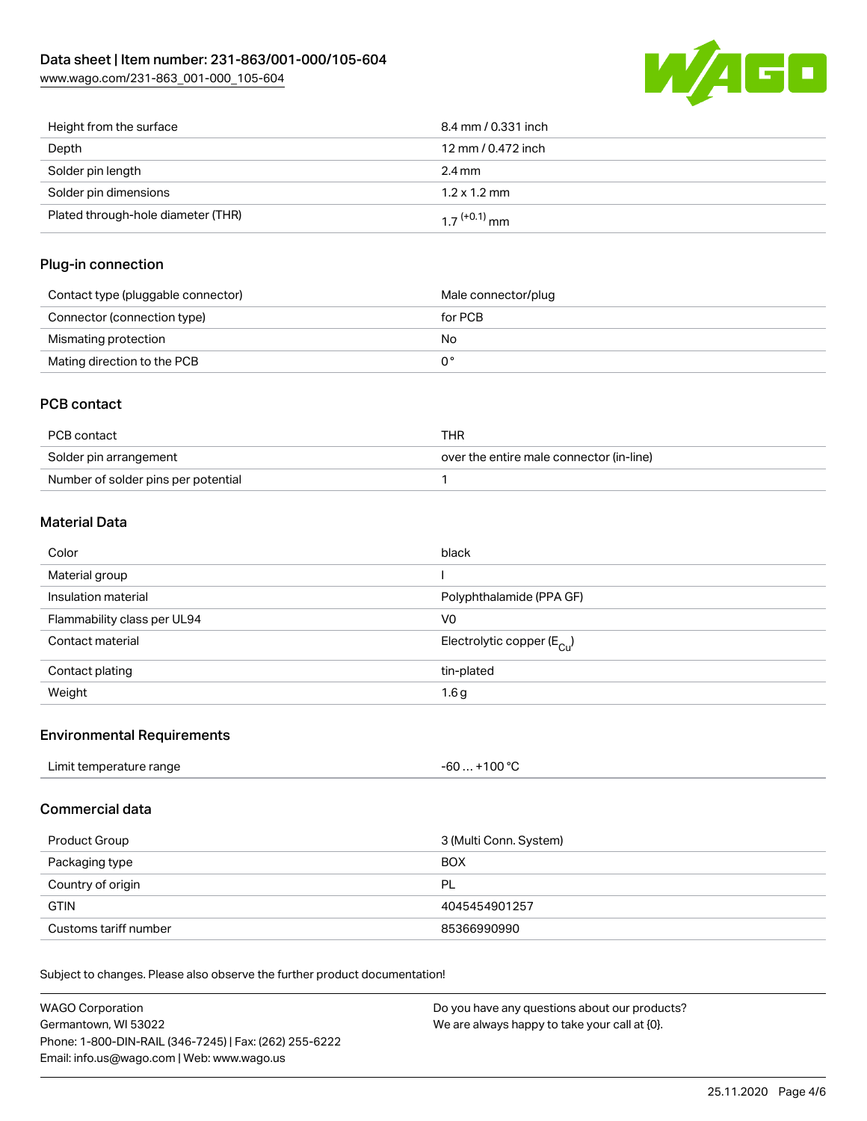

| Height from the surface            | 8.4 mm / 0.331 inch        |
|------------------------------------|----------------------------|
| Depth                              | 12 mm / 0.472 inch         |
| Solder pin length                  | $2.4 \,\mathrm{mm}$        |
| Solder pin dimensions              | $1.2 \times 1.2$ mm        |
| Plated through-hole diameter (THR) | $1.7$ <sup>(+0.1)</sup> mm |

#### Plug-in connection

| Contact type (pluggable connector) | Male connector/plug |
|------------------------------------|---------------------|
| Connector (connection type)        | for PCB             |
| Mismating protection               | No                  |
| Mating direction to the PCB        |                     |

#### PCB contact

| PCB contact                         | THR                                      |
|-------------------------------------|------------------------------------------|
| Solder pin arrangement              | over the entire male connector (in-line) |
| Number of solder pins per potential |                                          |

#### Material Data

| Color                       | black                                   |
|-----------------------------|-----------------------------------------|
| Material group              |                                         |
| Insulation material         | Polyphthalamide (PPA GF)                |
| Flammability class per UL94 | V <sub>0</sub>                          |
| Contact material            | Electrolytic copper ( $E_{\text{Cu}}$ ) |
| Contact plating             | tin-plated                              |
| Weight                      | 1.6g                                    |

#### Environmental Requirements

| Limit temperature range<br>.<br>$\blacksquare$ . The contract of the contract of the contract of the contract of the contract of the contract of the contract of the contract of the contract of the contract of the contract of the contract of the contract of the | $. +100 °C$<br>-60 |
|----------------------------------------------------------------------------------------------------------------------------------------------------------------------------------------------------------------------------------------------------------------------|--------------------|
|                                                                                                                                                                                                                                                                      |                    |

#### Commercial data

| Product Group         | 3 (Multi Conn. System) |
|-----------------------|------------------------|
| Packaging type        | <b>BOX</b>             |
| Country of origin     | PL                     |
| <b>GTIN</b>           | 4045454901257          |
| Customs tariff number | 85366990990            |

Subject to changes. Please also observe the further product documentation!

| WAGO Corporation                                       | Do you have any questions about our products? |
|--------------------------------------------------------|-----------------------------------------------|
| Germantown. WI 53022                                   | We are always happy to take your call at {0}. |
| Phone: 1-800-DIN-RAIL (346-7245)   Fax: (262) 255-6222 |                                               |
| Email: info.us@wago.com   Web: www.wago.us             |                                               |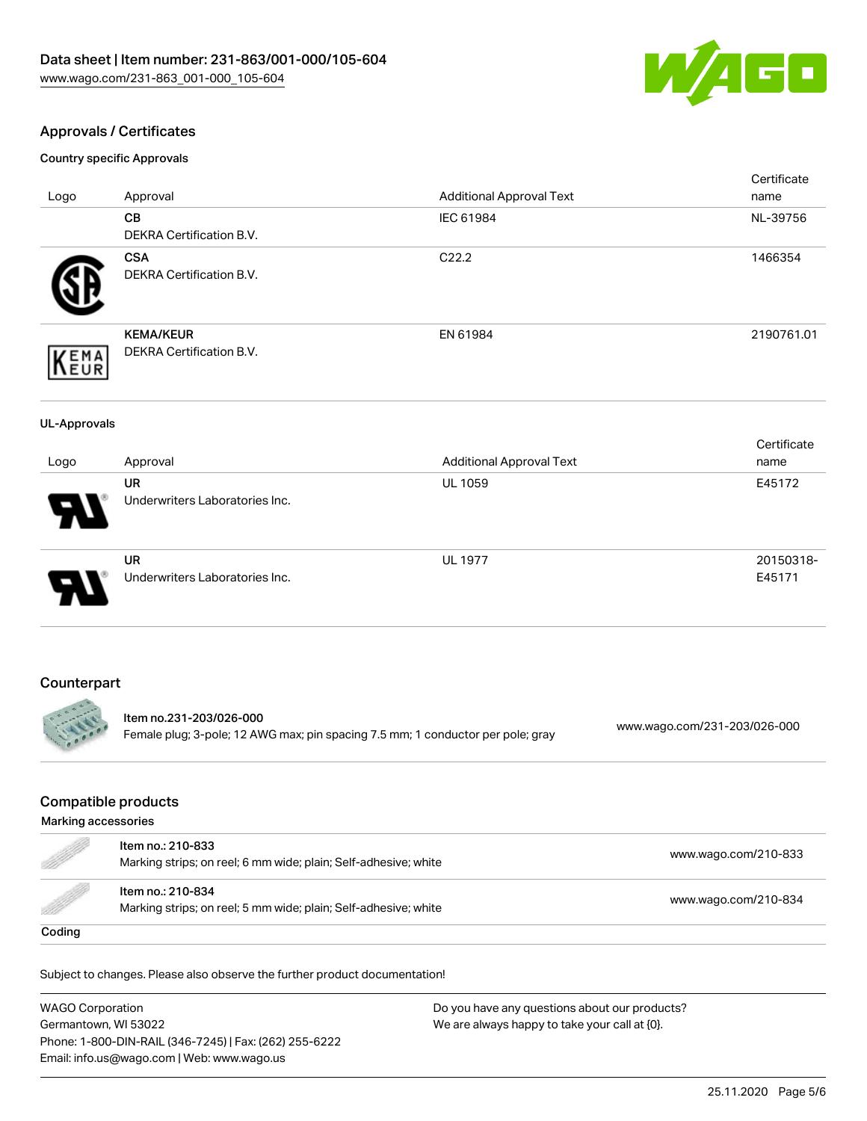

#### Approvals / Certificates

Country specific Approvals

|                     |                                                                                 |                                              | Certificate                  |
|---------------------|---------------------------------------------------------------------------------|----------------------------------------------|------------------------------|
| Logo                | Approval<br><b>CB</b>                                                           | <b>Additional Approval Text</b><br>IEC 61984 | name<br>NL-39756             |
|                     | <b>DEKRA Certification B.V.</b>                                                 |                                              |                              |
|                     | <b>CSA</b>                                                                      | C22.2                                        | 1466354                      |
|                     | DEKRA Certification B.V.                                                        |                                              |                              |
|                     |                                                                                 |                                              |                              |
|                     | <b>KEMA/KEUR</b>                                                                | EN 61984                                     | 2190761.01                   |
| <b>EMA</b><br>EUR   | DEKRA Certification B.V.                                                        |                                              |                              |
|                     |                                                                                 |                                              |                              |
| <b>UL-Approvals</b> |                                                                                 |                                              |                              |
|                     |                                                                                 |                                              | Certificate                  |
| Logo                | Approval                                                                        | <b>Additional Approval Text</b>              | name                         |
|                     | <b>UR</b>                                                                       | <b>UL 1059</b>                               | E45172                       |
|                     | Underwriters Laboratories Inc.                                                  |                                              |                              |
|                     |                                                                                 |                                              |                              |
|                     | <b>UR</b>                                                                       | <b>UL 1977</b>                               | 20150318-                    |
|                     | Underwriters Laboratories Inc.                                                  |                                              | E45171                       |
|                     |                                                                                 |                                              |                              |
|                     |                                                                                 |                                              |                              |
| Counterpart         |                                                                                 |                                              |                              |
|                     | Item no.231-203/026-000                                                         |                                              |                              |
|                     | Female plug; 3-pole; 12 AWG max; pin spacing 7.5 mm; 1 conductor per pole; gray |                                              | www.wago.com/231-203/026-000 |

### Compatible products

| Marking accessories                                                                                                                                                                                                             |                                                                                      |                      |  |
|---------------------------------------------------------------------------------------------------------------------------------------------------------------------------------------------------------------------------------|--------------------------------------------------------------------------------------|----------------------|--|
| d de la décès de la décès de la décès de la décès de la décès de la décès de la décès de la décès de la décès<br>Les décès de la décès de la décès de la décès de la décès de la décès de la décès de la décès de la décès de l | Item no.: 210-833<br>Marking strips; on reel; 6 mm wide; plain; Self-adhesive; white | www.wago.com/210-833 |  |
| <b>Sold in the Company's Security Service</b>                                                                                                                                                                                   | Item no.: 210-834<br>Marking strips; on reel; 5 mm wide; plain; Self-adhesive; white | www.wago.com/210-834 |  |
| Coding                                                                                                                                                                                                                          |                                                                                      |                      |  |

Subject to changes. Please also observe the further product documentation!

WAGO Corporation Germantown, WI 53022 Phone: 1-800-DIN-RAIL (346-7245) | Fax: (262) 255-6222 Email: info.us@wago.com | Web: www.wago.us Do you have any questions about our products? We are always happy to take your call at {0}.